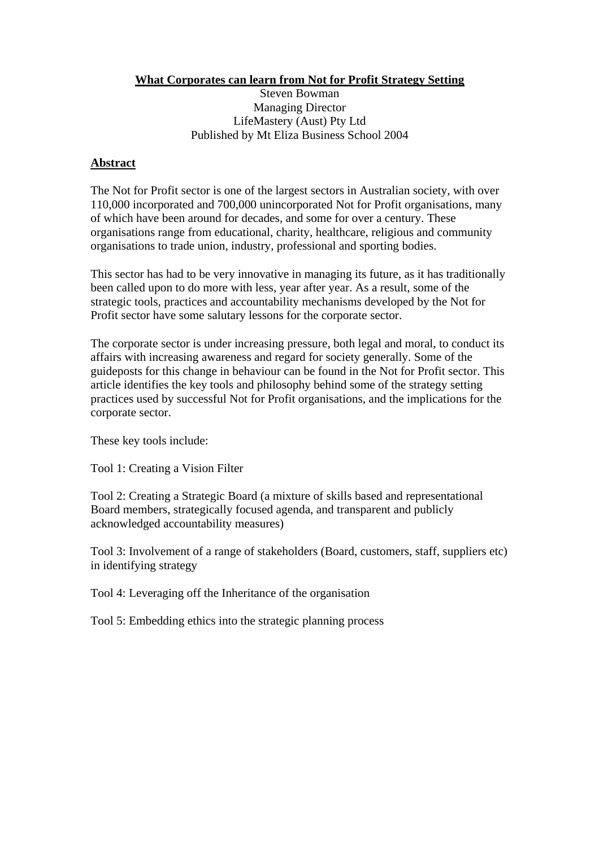**What Corporates can learn from Not for Profit Strategy Setting**

Steven Bowman Managing Director LifeMastery (Aust) Pty Ltd Published by Mt Eliza Business School 2004

### **Abstract**

The Not for Profit sector is one of the largest sectors in Australian society, with over 110,000 incorporated and 700,000 unincorporated Not for Profit organisations, many of which have been around for decades, and some for over a century. These organisations range from educational, charity, healthcare, religious and community organisations to trade union, industry, professional and sporting bodies.

This sector has had to be very innovative in managing its future, as it has traditionally been called upon to do more with less, year after year. As a result, some of the strategic tools, practices and accountability mechanisms developed by the Not for Profit sector have some salutary lessons for the corporate sector.

The corporate sector is under increasing pressure, both legal and moral, to conduct its affairs with increasing awareness and regard for society generally. Some of the guideposts for this change in behaviour can be found in the Not for Profit sector. This article identifies the key tools and philosophy behind some of the strategy setting practices used by successful Not for Profit organisations, and the implications for the corporate sector.

These key tools include:

Tool 1: Creating a Vision Filter

Tool 2: Creating a Strategic Board (a mixture of skills based and representational Board members, strategically focused agenda, and transparent and publicly acknowledged accountability measures)

Tool 3: Involvement of a range of stakeholders (Board, customers, staff, suppliers etc) in identifying strategy

Tool 4: Leveraging off the Inheritance of the organisation

Tool 5: Embedding ethics into the strategic planning process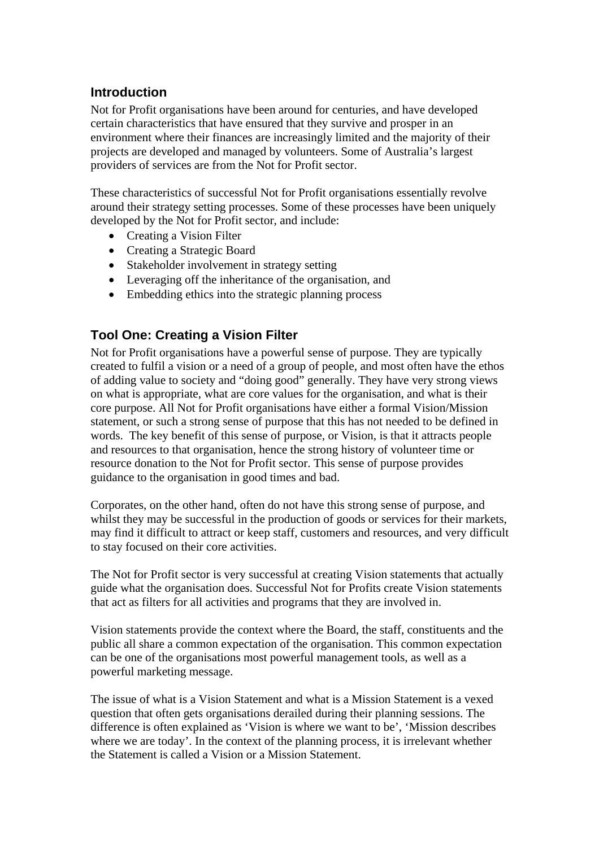## **Introduction**

Not for Profit organisations have been around for centuries, and have developed certain characteristics that have ensured that they survive and prosper in an environment where their finances are increasingly limited and the majority of their projects are developed and managed by volunteers. Some of Australia's largest providers of services are from the Not for Profit sector.

These characteristics of successful Not for Profit organisations essentially revolve around their strategy setting processes. Some of these processes have been uniquely developed by the Not for Profit sector, and include:

- Creating a Vision Filter
- Creating a Strategic Board
- Stakeholder involvement in strategy setting
- Leveraging off the inheritance of the organisation, and
- Embedding ethics into the strategic planning process

# **Tool One: Creating a Vision Filter**

Not for Profit organisations have a powerful sense of purpose. They are typically created to fulfil a vision or a need of a group of people, and most often have the ethos of adding value to society and "doing good" generally. They have very strong views on what is appropriate, what are core values for the organisation, and what is their core purpose. All Not for Profit organisations have either a formal Vision/Mission statement, or such a strong sense of purpose that this has not needed to be defined in words. The key benefit of this sense of purpose, or Vision, is that it attracts people and resources to that organisation, hence the strong history of volunteer time or resource donation to the Not for Profit sector. This sense of purpose provides guidance to the organisation in good times and bad.

Corporates, on the other hand, often do not have this strong sense of purpose, and whilst they may be successful in the production of goods or services for their markets, may find it difficult to attract or keep staff, customers and resources, and very difficult to stay focused on their core activities.

The Not for Profit sector is very successful at creating Vision statements that actually guide what the organisation does. Successful Not for Profits create Vision statements that act as filters for all activities and programs that they are involved in.

Vision statements provide the context where the Board, the staff, constituents and the public all share a common expectation of the organisation. This common expectation can be one of the organisations most powerful management tools, as well as a powerful marketing message.

The issue of what is a Vision Statement and what is a Mission Statement is a vexed question that often gets organisations derailed during their planning sessions. The difference is often explained as 'Vision is where we want to be', 'Mission describes where we are today'. In the context of the planning process, it is irrelevant whether the Statement is called a Vision or a Mission Statement.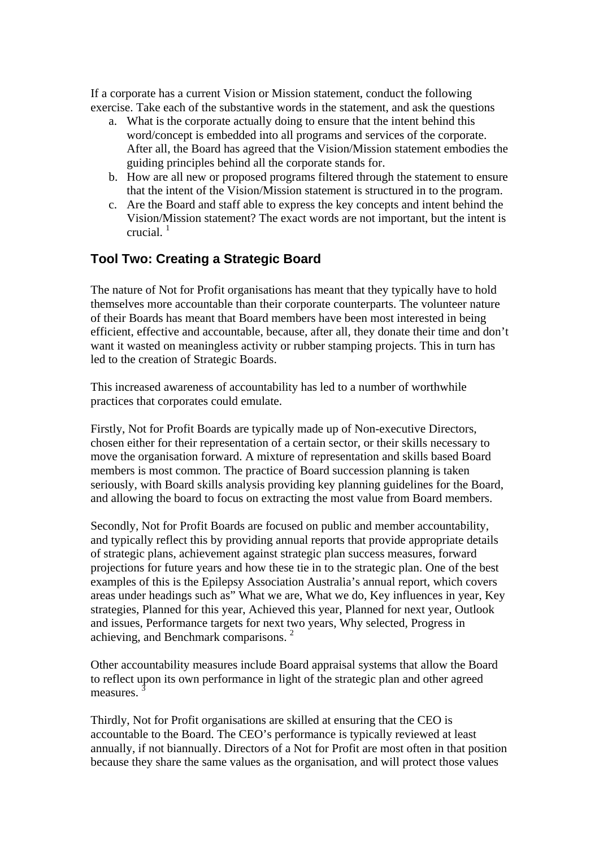If a corporate has a current Vision or Mission statement, conduct the following exercise. Take each of the substantive words in the statement, and ask the questions

- a. What is the corporate actually doing to ensure that the intent behind this word/concept is embedded into all programs and services of the corporate. After all, the Board has agreed that the Vision/Mission statement embodies the guiding principles behind all the corporate stands for.
- b. How are all new or proposed programs filtered through the statement to ensure that the intent of the Vision/Mission statement is structured in to the program.
- c. Are the Board and staff able to express the key concepts and intent behind the Vision/Mission statement? The exact words are not important, but the intent is crucial. $1$

## **Tool Two: Creating a Strategic Board**

The nature of Not for Profit organisations has meant that they typically have to hold themselves more accountable than their corporate counterparts. The volunteer nature of their Boards has meant that Board members have been most interested in being efficient, effective and accountable, because, after all, they donate their time and don't want it wasted on meaningless activity or rubber stamping projects. This in turn has led to the creation of Strategic Boards.

This increased awareness of accountability has led to a number of worthwhile practices that corporates could emulate.

Firstly, Not for Profit Boards are typically made up of Non-executive Directors, chosen either for their representation of a certain sector, or their skills necessary to move the organisation forward. A mixture of representation and skills based Board members is most common. The practice of Board succession planning is taken seriously, with Board skills analysis providing key planning guidelines for the Board, and allowing the board to focus on extracting the most value from Board members.

Secondly, Not for Profit Boards are focused on public and member accountability, and typically reflect this by providing annual reports that provide appropriate details of strategic plans, achievement against strategic plan success measures, forward projections for future years and how these tie in to the strategic plan. One of the best examples of this is the Epilepsy Association Australia's annual report, which covers areas under headings such as" What we are, What we do, Key influences in year, Key strategies, Planned for this year, Achieved this year, Planned for next year, Outlook and issues, Performance targets for next two years, Why selected, Progress in achieving, and Benchmark comparisons. 2

Other accountability measures include Board appraisal systems that allow the Board to reflect upon its own performance in light of the strategic plan and other agreed measures.

Thirdly, Not for Profit organisations are skilled at ensuring that the CEO is accountable to the Board. The CEO's performance is typically reviewed at least annually, if not biannually. Directors of a Not for Profit are most often in that position because they share the same values as the organisation, and will protect those values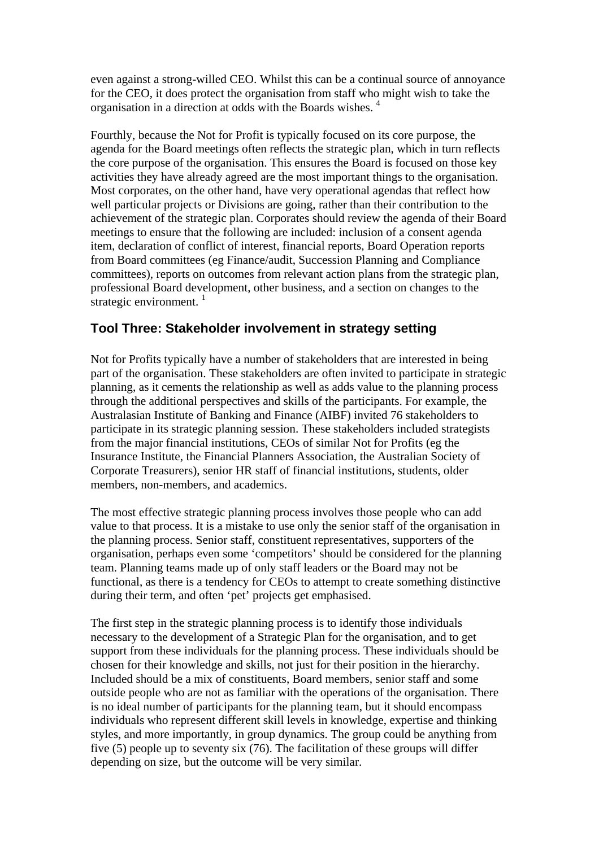even against a strong-willed CEO. Whilst this can be a continual source of annoyance for the CEO, it does protect the organisation from staff who might wish to take the organisation in a direction at odds with the Boards wishes. 4

Fourthly, because the Not for Profit is typically focused on its core purpose, the agenda for the Board meetings often reflects the strategic plan, which in turn reflects the core purpose of the organisation. This ensures the Board is focused on those key activities they have already agreed are the most important things to the organisation. Most corporates, on the other hand, have very operational agendas that reflect how well particular projects or Divisions are going, rather than their contribution to the achievement of the strategic plan. Corporates should review the agenda of their Board meetings to ensure that the following are included: inclusion of a consent agenda item, declaration of conflict of interest, financial reports, Board Operation reports from Board committees (eg Finance/audit, Succession Planning and Compliance committees), reports on outcomes from relevant action plans from the strategic plan, professional Board development, other business, and a section on changes to the strategic environment.  $\frac{1}{1}$ 

## **Tool Three: Stakeholder involvement in strategy setting**

Not for Profits typically have a number of stakeholders that are interested in being part of the organisation. These stakeholders are often invited to participate in strategic planning, as it cements the relationship as well as adds value to the planning process through the additional perspectives and skills of the participants. For example, the Australasian Institute of Banking and Finance (AIBF) invited 76 stakeholders to participate in its strategic planning session. These stakeholders included strategists from the major financial institutions, CEOs of similar Not for Profits (eg the Insurance Institute, the Financial Planners Association, the Australian Society of Corporate Treasurers), senior HR staff of financial institutions, students, older members, non-members, and academics.

The most effective strategic planning process involves those people who can add value to that process. It is a mistake to use only the senior staff of the organisation in the planning process. Senior staff, constituent representatives, supporters of the organisation, perhaps even some 'competitors' should be considered for the planning team. Planning teams made up of only staff leaders or the Board may not be functional, as there is a tendency for CEOs to attempt to create something distinctive during their term, and often 'pet' projects get emphasised.

The first step in the strategic planning process is to identify those individuals necessary to the development of a Strategic Plan for the organisation, and to get support from these individuals for the planning process. These individuals should be chosen for their knowledge and skills, not just for their position in the hierarchy. Included should be a mix of constituents, Board members, senior staff and some outside people who are not as familiar with the operations of the organisation. There is no ideal number of participants for the planning team, but it should encompass individuals who represent different skill levels in knowledge, expertise and thinking styles, and more importantly, in group dynamics. The group could be anything from five (5) people up to seventy six (76). The facilitation of these groups will differ depending on size, but the outcome will be very similar.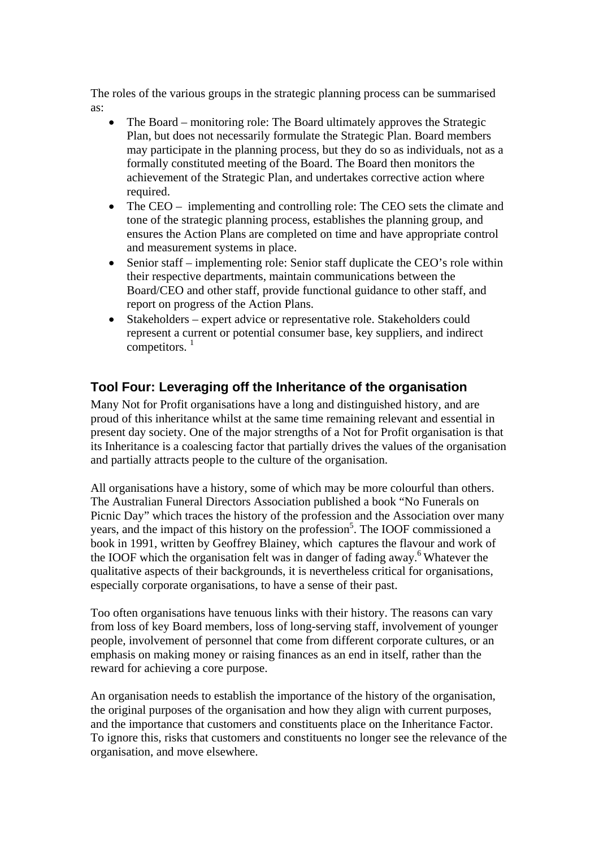The roles of the various groups in the strategic planning process can be summarised as:

- The Board monitoring role: The Board ultimately approves the Strategic Plan, but does not necessarily formulate the Strategic Plan. Board members may participate in the planning process, but they do so as individuals, not as a formally constituted meeting of the Board. The Board then monitors the achievement of the Strategic Plan, and undertakes corrective action where required.
- The CEO implementing and controlling role: The CEO sets the climate and tone of the strategic planning process, establishes the planning group, and ensures the Action Plans are completed on time and have appropriate control and measurement systems in place.
- Senior staff implementing role: Senior staff duplicate the CEO's role within their respective departments, maintain communications between the Board/CEO and other staff, provide functional guidance to other staff, and report on progress of the Action Plans.
- Stakeholders expert advice or representative role. Stakeholders could represent a current or potential consumer base, key suppliers, and indirect competitors.  $<sup>1</sup>$ </sup>

# **Tool Four: Leveraging off the Inheritance of the organisation**

Many Not for Profit organisations have a long and distinguished history, and are proud of this inheritance whilst at the same time remaining relevant and essential in present day society. One of the major strengths of a Not for Profit organisation is that its Inheritance is a coalescing factor that partially drives the values of the organisation and partially attracts people to the culture of the organisation.

All organisations have a history, some of which may be more colourful than others. The Australian Funeral Directors Association published a book "No Funerals on Picnic Day" which traces the history of the profession and the Association over many years, and the impact of this history on the profession<sup>5</sup>. The IOOF commissioned a book in 1991, written by Geoffrey Blainey, which captures the flavour and work of the IOOF which the organisation felt was in danger of fading away.<sup>6</sup> Whatever the qualitative aspects of their backgrounds, it is nevertheless critical for organisations, especially corporate organisations, to have a sense of their past.

Too often organisations have tenuous links with their history. The reasons can vary from loss of key Board members, loss of long-serving staff, involvement of younger people, involvement of personnel that come from different corporate cultures, or an emphasis on making money or raising finances as an end in itself, rather than the reward for achieving a core purpose.

An organisation needs to establish the importance of the history of the organisation, the original purposes of the organisation and how they align with current purposes, and the importance that customers and constituents place on the Inheritance Factor. To ignore this, risks that customers and constituents no longer see the relevance of the organisation, and move elsewhere.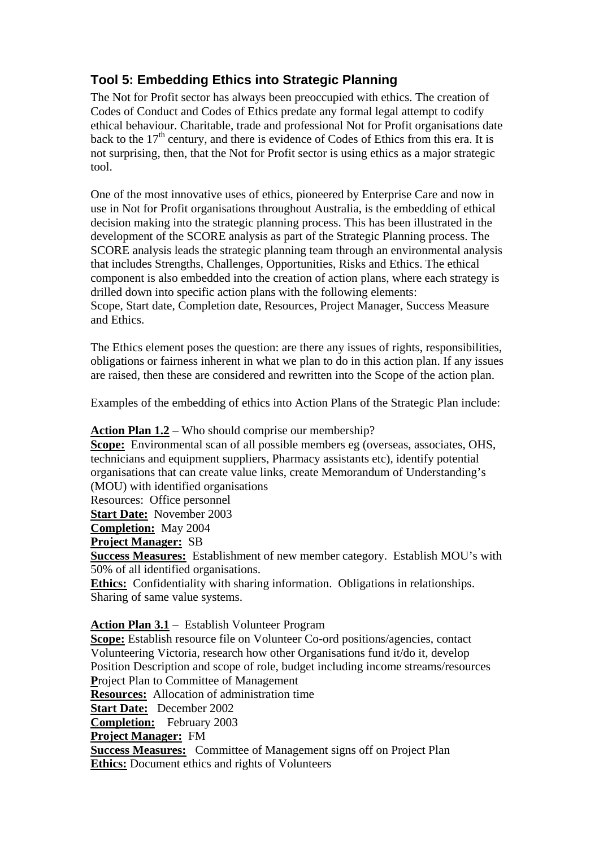# **Tool 5: Embedding Ethics into Strategic Planning**

The Not for Profit sector has always been preoccupied with ethics. The creation of Codes of Conduct and Codes of Ethics predate any formal legal attempt to codify ethical behaviour. Charitable, trade and professional Not for Profit organisations date back to the  $17<sup>th</sup>$  century, and there is evidence of Codes of Ethics from this era. It is not surprising, then, that the Not for Profit sector is using ethics as a major strategic tool.

One of the most innovative uses of ethics, pioneered by Enterprise Care and now in use in Not for Profit organisations throughout Australia, is the embedding of ethical decision making into the strategic planning process. This has been illustrated in the development of the SCORE analysis as part of the Strategic Planning process. The SCORE analysis leads the strategic planning team through an environmental analysis that includes Strengths, Challenges, Opportunities, Risks and Ethics. The ethical component is also embedded into the creation of action plans, where each strategy is drilled down into specific action plans with the following elements:

Scope, Start date, Completion date, Resources, Project Manager, Success Measure and Ethics.

The Ethics element poses the question: are there any issues of rights, responsibilities, obligations or fairness inherent in what we plan to do in this action plan. If any issues are raised, then these are considered and rewritten into the Scope of the action plan.

Examples of the embedding of ethics into Action Plans of the Strategic Plan include:

#### **Action Plan 1.2** – Who should comprise our membership?

**Scope:** Environmental scan of all possible members eg (overseas, associates, OHS, technicians and equipment suppliers, Pharmacy assistants etc), identify potential organisations that can create value links, create Memorandum of Understanding's (MOU) with identified organisations

Resources: Office personnel

**Start Date:** November 2003

**Completion:** May 2004

**Project Manager:** SB

**Success Measures:** Establishment of new member category. Establish MOU's with 50% of all identified organisations.

**Ethics:** Confidentiality with sharing information. Obligations in relationships. Sharing of same value systems.

#### **Action Plan 3.1** – Establish Volunteer Program

**Scope:** Establish resource file on Volunteer Co-ord positions/agencies, contact Volunteering Victoria, research how other Organisations fund it/do it, develop Position Description and scope of role, budget including income streams/resources **P**roject Plan to Committee of Management

**Resources:** Allocation of administration time

**Start Date:** December 2002

**Completion:** February 2003

**Project Manager:** FM

**Success Measures:** Committee of Management signs off on Project Plan **Ethics:** Document ethics and rights of Volunteers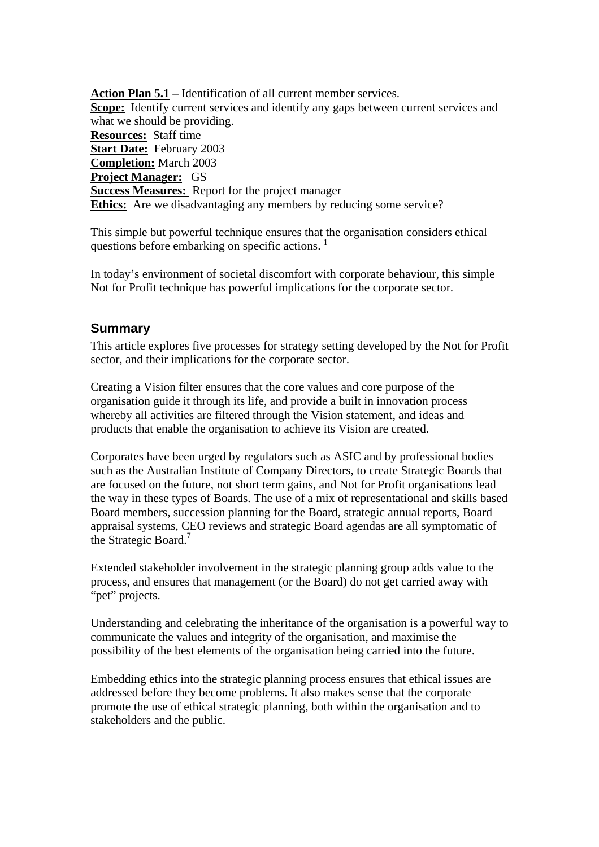**Action Plan 5.1** – Identification of all current member services. **Scope:** Identify current services and identify any gaps between current services and what we should be providing. **Resources:** Staff time **Start Date:** February 2003 **Completion:** March 2003 **Project Manager:** GS **Success Measures:** Report for the project manager **Ethics:** Are we disadvantaging any members by reducing some service?

This simple but powerful technique ensures that the organisation considers ethical questions before embarking on specific actions.  $\frac{1}{1}$ 

In today's environment of societal discomfort with corporate behaviour, this simple Not for Profit technique has powerful implications for the corporate sector.

#### **Summary**

This article explores five processes for strategy setting developed by the Not for Profit sector, and their implications for the corporate sector.

Creating a Vision filter ensures that the core values and core purpose of the organisation guide it through its life, and provide a built in innovation process whereby all activities are filtered through the Vision statement, and ideas and products that enable the organisation to achieve its Vision are created.

Corporates have been urged by regulators such as ASIC and by professional bodies such as the Australian Institute of Company Directors, to create Strategic Boards that are focused on the future, not short term gains, and Not for Profit organisations lead the way in these types of Boards. The use of a mix of representational and skills based Board members, succession planning for the Board, strategic annual reports, Board appraisal systems, CEO reviews and strategic Board agendas are all symptomatic of the Strategic Board.<sup>7</sup>

Extended stakeholder involvement in the strategic planning group adds value to the process, and ensures that management (or the Board) do not get carried away with "pet" projects.

Understanding and celebrating the inheritance of the organisation is a powerful way to communicate the values and integrity of the organisation, and maximise the possibility of the best elements of the organisation being carried into the future.

Embedding ethics into the strategic planning process ensures that ethical issues are addressed before they become problems. It also makes sense that the corporate promote the use of ethical strategic planning, both within the organisation and to stakeholders and the public.